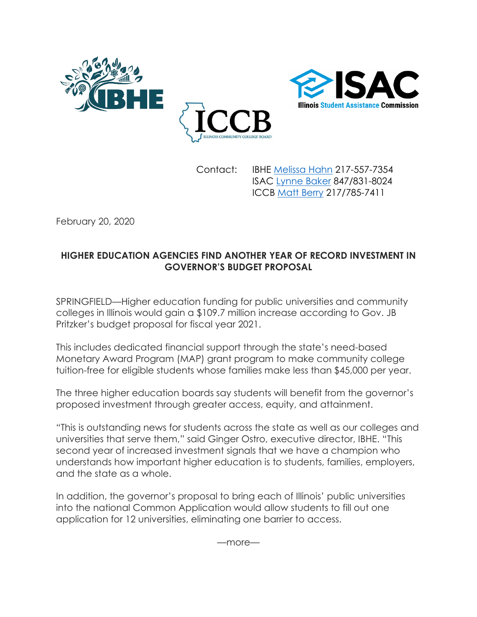



Contact: IBHE [Melissa Hahn](mailto:hahn@ibhe.org) 217-557-7354 ISAC [Lynne Baker](mailto:Lynne.Baker@illinois.gov) 847/831-8024 ICCB [Matt Berry](mailto:matt.berry@illinois.gov) 217/785-7411

February 20, 2020

## **HIGHER EDUCATION AGENCIES FIND ANOTHER YEAR OF RECORD INVESTMENT IN GOVERNOR'S BUDGET PROPOSAL**

SPRINGFIELD—Higher education funding for public universities and community colleges in Illinois would gain a \$109.7 million increase according to Gov. JB Pritzker's budget proposal for fiscal year 2021.

This includes dedicated financial support through the state's need-based Monetary Award Program (MAP) grant program to make community college tuition-free for eligible students whose families make less than \$45,000 per year.

The three higher education boards say students will benefit from the governor's proposed investment through greater access, equity, and attainment.

"This is outstanding news for students across the state as well as our colleges and universities that serve them," said Ginger Ostro, executive director, IBHE. "This second year of increased investment signals that we have a champion who understands how important higher education is to students, families, employers, and the state as a whole.

In addition, the governor's proposal to bring each of Illinois' public universities into the national Common Application would allow students to fill out one application for 12 universities, eliminating one barrier to access.

—more—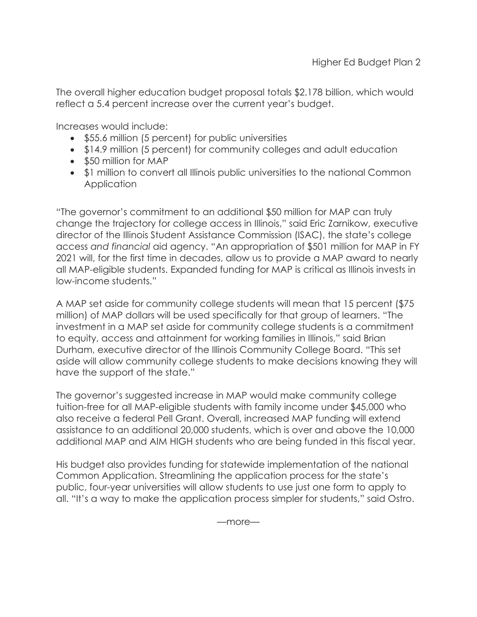The overall higher education budget proposal totals \$2.178 billion, which would reflect a 5.4 percent increase over the current year's budget.

Increases would include:

- \$55.6 million (5 percent) for public universities
- \$14.9 million (5 percent) for community colleges and adult education
- \$50 million for MAP
- \$1 million to convert all Illinois public universities to the national Common **Application**

"The governor's commitment to an additional \$50 million for MAP can truly change the trajectory for college access in Illinois," said Eric Zarnikow, executive director of the Illinois Student Assistance Commission (ISAC), the state's college access *and financial* aid agency. "An appropriation of \$501 million for MAP in FY 2021 will, for the first time in decades, allow us to provide a MAP award to nearly all MAP-eligible students. Expanded funding for MAP is critical as Illinois invests in low-income students."

A MAP set aside for community college students will mean that 15 percent (\$75 million) of MAP dollars will be used specifically for that group of learners. "The investment in a MAP set aside for community college students is a commitment to equity, access and attainment for working families in Illinois," said Brian Durham, executive director of the Illinois Community College Board. "This set aside will allow community college students to make decisions knowing they will have the support of the state."

The governor's suggested increase in MAP would make community college tuition-free for all MAP-eligible students with family income under \$45,000 who also receive a federal Pell Grant. Overall, increased MAP funding will extend assistance to an additional 20,000 students, which is over and above the 10,000 additional MAP and AIM HIGH students who are being funded in this fiscal year.

His budget also provides funding for statewide implementation of the national Common Application. Streamlining the application process for the state's public, four-year universities will allow students to use just one form to apply to all. "It's a way to make the application process simpler for students," said Ostro.

—more—